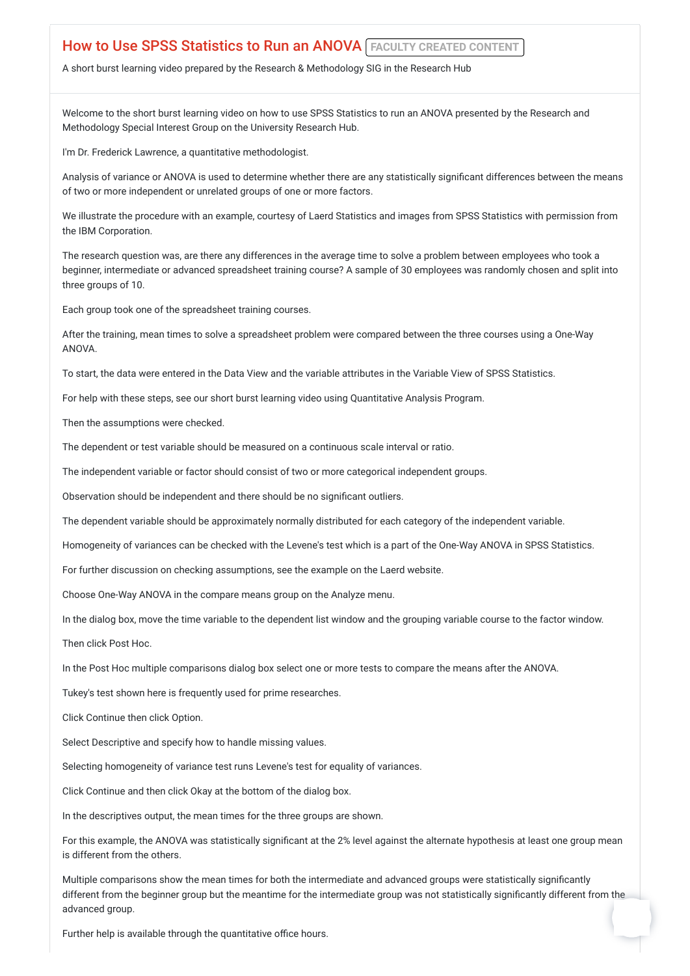## **How to Use SPSS Statistics to Run an ANOVA FACULTY CREATED CONTENT**

A short burst learning video prepared by the Research & Methodology SIG in the Research Hub

Welcome to the short burst learning video on how to use SPSS Statistics to run an ANOVA presented by the Research and Methodology Special Interest Group on the University Research Hub.

I'm Dr. Frederick Lawrence, a quantitative methodologist.

Analysis of variance or ANOVA is used to determine whether there are any statistically significant differences between the means of two or more independent or unrelated groups of one or more factors.

We illustrate the procedure with an example, courtesy of Laerd Statistics and images from SPSS Statistics with permission from the IBM Corporation.

The research question was, are there any differences in the average time to solve a problem between employees who took a beginner, intermediate or advanced spreadsheet training course? A sample of 30 employees was randomly chosen and split into three groups of 10.

Each group took one of the spreadsheet training courses.

After the training, mean times to solve a spreadsheet problem were compared between the three courses using a One-Way ANOVA.

To start, the data were entered in the Data View and the variable attributes in the Variable View of SPSS Statistics.

For help with these steps, see our short burst learning video using Quantitative Analysis Program.

Then the assumptions were checked.

The dependent or test variable should be measured on a continuous scale interval or ratio.

The independent variable or factor should consist of two or more categorical independent groups.

Observation should be independent and there should be no significant outliers.

The dependent variable should be approximately normally distributed for each category of the independent variable.

Homogeneity of variances can be checked with the Levene's test which is a part of the One-Way ANOVA in SPSS Statistics.

For further discussion on checking assumptions, see the example on the Laerd website.

Choose One-Way ANOVA in the compare means group on the Analyze menu.

In the dialog box, move the time variable to the dependent list window and the grouping variable course to the factor window.

Then click Post Hoc.

In the Post Hoc multiple comparisons dialog box select one or more tests to compare the means after the ANOVA.

Tukey's test shown here is frequently used for prime researches.

Click Continue then click Option.

Select Descriptive and specify how to handle missing values.

Selecting homogeneity of variance test runs Levene's test for equality of variances.

Click Continue and then click Okay at the bottom of the dialog box.

In the descriptives output, the mean times for the three groups are shown.

For this example, the ANOVA was statistically significant at the 2% level against the alternate hypothesis at least one group mean is different from the others.

Multiple comparisons show the mean times for both the intermediate and advanced groups were statistically significantly different from the beginner group but the meantime for the intermediate group was not statistically significantly different from the advanced group.

Further help is available through the quantitative office hours.